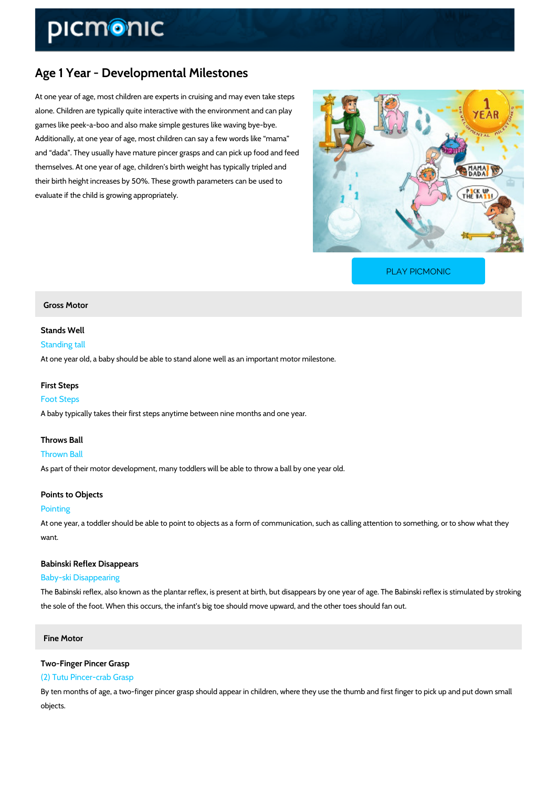# Age 1 Year - Developmental Milestones

At one year of age, most children are experts in cruising and may even take steps alone. Children are typically quite interactive with the environment and can play games like peek-a-boo and also make simple gestures like waving bye-bye. Additionally, at one year of age, most children can say a few words like mama and dada . They usually have mature pincer grasps and can pick up food and feed themselves. At one year of age, children s birth weight has typically tripled and their birth height increases by 50%. These growth parameters can be used to evaluate if the child is growing appropriately.

[PLAY PICMONIC](https://www.picmonic.com/learn/age-1-year-developmental-milestones_5763?utm_source=downloadable_content&utm_medium=distributedcontent&utm_campaign=pathways_pdf&utm_content=Age 1 Year - Developmental Milestones&utm_ad_group=leads&utm_market=all)

# Gross Motor

Stands Well

Standing tall

At one year old, a baby should be able to stand alone well as an important motor milestone.

#### First Steps

#### Foot Steps

A baby typically takes their first steps anytime between nine months and one year.

#### Throws Ball

Thrown Ball As part of their motor development, many toddlers will be able to throw a ball by one year old.

#### Points to Objects

# Pointing

At one year, a toddler should be able to point to objects as a form of communication, such as want.

Babinski Reflex Disappears Baby-ski Disappearing

The Babinski reflex, also known as the plantar reflex, is present at birth, but disappears by o the sole of the foot. When this occurs, the infant s big toe should move upward, and the other

Fine Motor

# Two-Finger Pincer Grasp

### (2) Tutu Pincer-crab Grasp

By ten months of age, a two-finger pincer grasp should appear in children, where they use the objects.